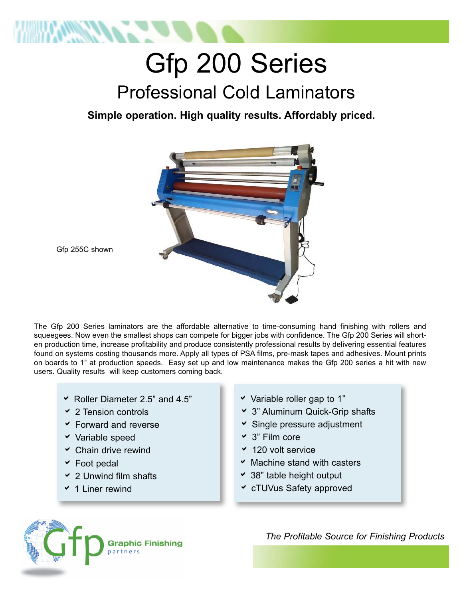

## Gfp 200 Series Professional Cold Laminators

**Simple operation. High quality results. Affordably priced.**



Gfp 255C shown

The Gfp 200 Series laminators are the affordable alternative to time-consuming hand finishing with rollers and squeegees. Now even the smallest shops can compete for bigger jobs with confidence. The Gfp 200 Series will shorten production time, increase profitability and produce consistently professional results by delivering essential features found on systems costing thousands more. Apply all types of PSA films, pre-mask tapes and adhesives. Mount prints on boards to 1" at production speeds. Easy set up and low maintenance makes the Gfp 200 series a hit with new users. Quality results will keep customers coming back.

- $\blacktriangleright$  Roller Diameter 2.5" and 4.5"
- $\times$  2 Tension controls
- $\overline{\phantom{a}}$  Forward and reverse
- $\checkmark$  Variable speed
- $\times$  Chain drive rewind
- $\triangleright$  Foot pedal
- $\overline{\phantom{a}}$  2 Unwind film shafts
- $\times$  1 Liner rewind
- $\checkmark$  Variable roller gap to 1"
- a 3" Aluminum Quick-Grip shafts
- $\triangle$  Single pressure adjustment
- $\vee$  3" Film core
- $\times$  120 volt service
- $\times$  Machine stand with casters
- $\cdot$  38" table height output
- **v** cTUVus Safety approved



*The Profitable Source for Finishing Products*